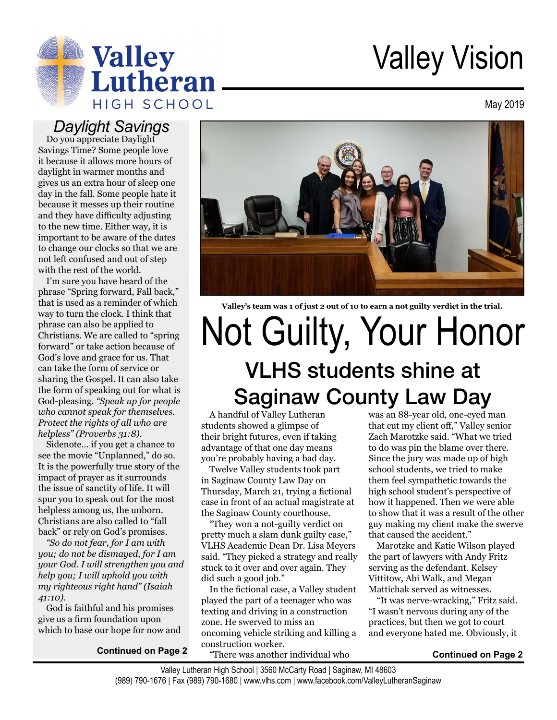

# Valley Vision

May 2019

#### *Daylight Savings*

Do you appreciate Daylight Savings Time? Some people love it because it allows more hours of daylight in warmer months and gives us an extra hour of sleep one day in the fall. Some people hate it because it messes up their routine and they have difficulty adjusting to the new time. Either way, it is important to be aware of the dates to change our clocks so that we are not left confused and out of step with the rest of the world.

I'm sure you have heard of the phrase "Spring forward, Fall back," that is used as a reminder of which way to turn the clock. I think that phrase can also be applied to Christians. We are called to "spring forward" or take action because of God's love and grace for us. That can take the form of service or sharing the Gospel. It can also take the form of speaking out for what is God-pleasing. *"Speak up for people who cannot speak for themselves. Protect the rights of all who are helpless" (Proverbs 31:8)*.

Sidenote… if you get a chance to see the movie "Unplanned," do so. It is the powerfully true story of the impact of prayer as it surrounds the issue of sanctity of life. It will spur you to speak out for the most helpless among us, the unborn. Christians are also called to "fall back" or rely on God's promises.

*"So do not fear, for I am with you; do not be dismayed, for I am your God. I will strengthen you and help you; I will uphold you with my righteous right hand" (Isaiah 41:10)*.

God is faithful and his promises give us a firm foundation upon which to base our hope for now and

**Continued on Page 2**



**Valley's team was 1 of just 2 out of 10 to earn a not guilty verdict in the trial.**

## Not Guilty, Your Honor VLHS students shine at Saginaw County Law Day

A handful of Valley Lutheran students showed a glimpse of their bright futures, even if taking advantage of that one day means you're probably having a bad day.

Twelve Valley students took part in Saginaw County Law Day on Thursday, March 21, trying a fictional case in front of an actual magistrate at the Saginaw County courthouse.

"They won a not-guilty verdict on pretty much a slam dunk guilty case," VLHS Academic Dean Dr. Lisa Meyers said. "They picked a strategy and really stuck to it over and over again. They did such a good job."

In the fictional case, a Valley student played the part of a teenager who was texting and driving in a construction zone. He swerved to miss an oncoming vehicle striking and killing a construction worker.

"There was another individual who

was an 88-year old, one-eyed man that cut my client off," Valley senior Zach Marotzke said. "What we tried to do was pin the blame over there. Since the jury was made up of high school students, we tried to make them feel sympathetic towards the high school student's perspective of how it happened. Then we were able to show that it was a result of the other guy making my client make the swerve that caused the accident."

Marotzke and Katie Wilson played the part of lawyers with Andy Fritz serving as the defendant. Kelsey Vittitow, Abi Walk, and Megan Mattichak served as witnesses.

"It was nerve-wracking," Fritz said. "I wasn't nervous during any of the practices, but then we got to court and everyone hated me. Obviously, it